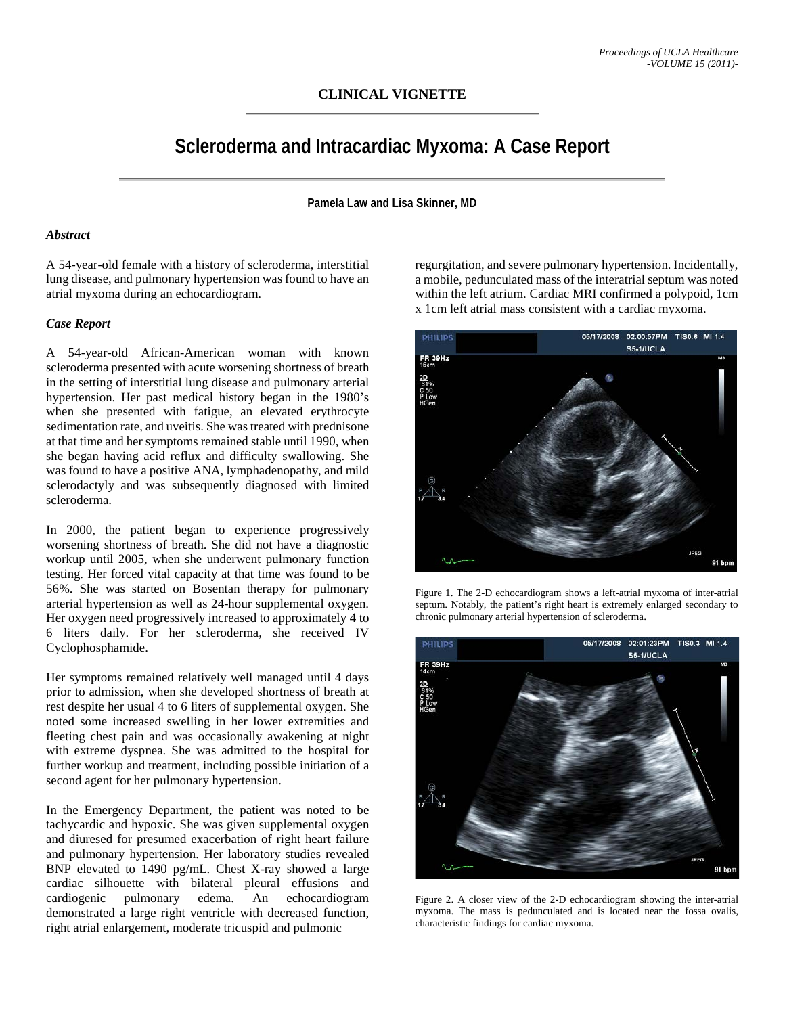## **CLINICAL VIGNETTE**

# **Scleroderma and Intracardiac Myxoma: A Case Report**

**Pamela Law and Lisa Skinner, MD**

## *Abstract*

A 54-year-old female with a history of scleroderma, interstitial lung disease, and pulmonary hypertension was found to have an atrial myxoma during an echocardiogram.

#### *Case Report*

A 54-year-old African-American woman with known scleroderma presented with acute worsening shortness of breath in the setting of interstitial lung disease and pulmonary arterial hypertension. Her past medical history began in the 1980's when she presented with fatigue, an elevated erythrocyte sedimentation rate, and uveitis. She was treated with prednisone at that time and her symptoms remained stable until 1990, when she began having acid reflux and difficulty swallowing. She was found to have a positive ANA, lymphadenopathy, and mild sclerodactyly and was subsequently diagnosed with limited scleroderma.

In 2000, the patient began to experience progressively worsening shortness of breath. She did not have a diagnostic workup until 2005, when she underwent pulmonary function testing. Her forced vital capacity at that time was found to be 56%. She was started on Bosentan therapy for pulmonary arterial hypertension as well as 24-hour supplemental oxygen. Her oxygen need progressively increased to approximately 4 to 6 liters daily. For her scleroderma, she received IV Cyclophosphamide.

Her symptoms remained relatively well managed until 4 days prior to admission, when she developed shortness of breath at rest despite her usual 4 to 6 liters of supplemental oxygen. She noted some increased swelling in her lower extremities and fleeting chest pain and was occasionally awakening at night with extreme dyspnea. She was admitted to the hospital for further workup and treatment, including possible initiation of a second agent for her pulmonary hypertension.

In the Emergency Department, the patient was noted to be tachycardic and hypoxic. She was given supplemental oxygen and diuresed for presumed exacerbation of right heart failure and pulmonary hypertension. Her laboratory studies revealed BNP elevated to 1490 pg/mL. Chest X-ray showed a large cardiac silhouette with bilateral pleural effusions and cardiogenic pulmonary edema. An echocardiogram demonstrated a large right ventricle with decreased function, right atrial enlargement, moderate tricuspid and pulmonic

regurgitation, and severe pulmonary hypertension. Incidentally, a mobile, pedunculated mass of the interatrial septum was noted within the left atrium. Cardiac MRI confirmed a polypoid, 1cm x 1cm left atrial mass consistent with a cardiac myxoma.



Figure 1. The 2-D echocardiogram shows a left-atrial myxoma of inter-atrial septum. Notably, the patient's right heart is extremely enlarged secondary to chronic pulmonary arterial hypertension of scleroderma.



Figure 2. A closer view of the 2-D echocardiogram showing the inter-atrial myxoma. The mass is pedunculated and is located near the fossa ovalis, characteristic findings for cardiac myxoma.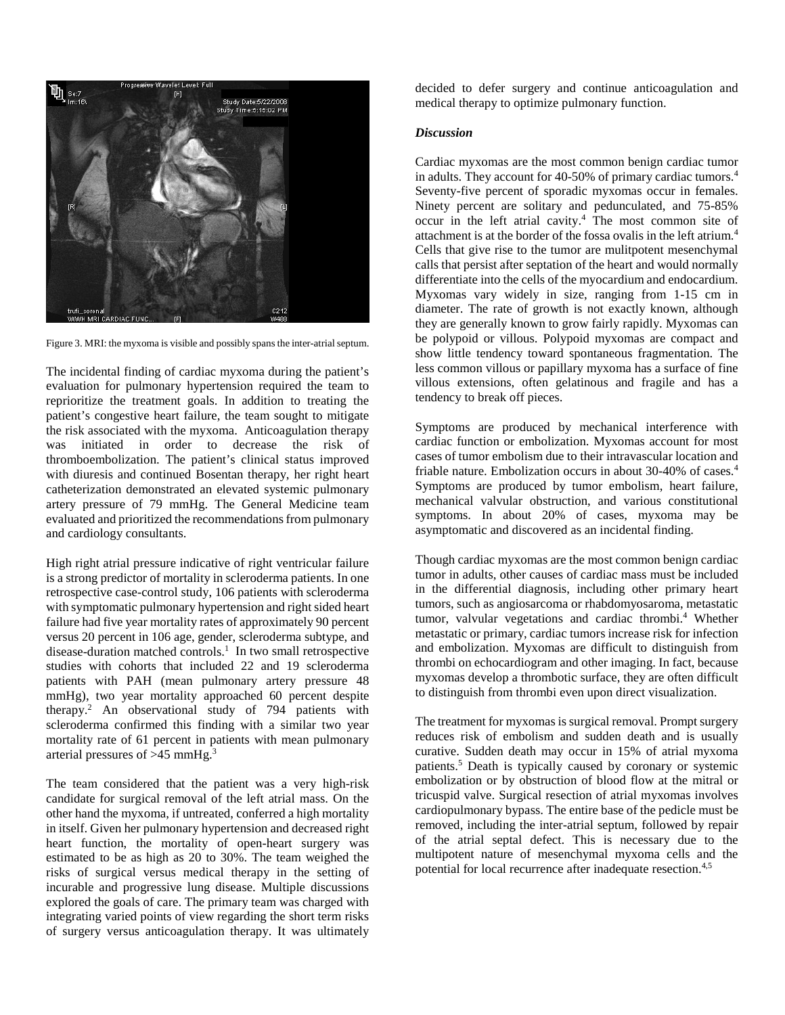

Figure 3. MRI: the myxoma is visible and possibly spans the inter-atrial septum.

The incidental finding of cardiac myxoma during the patient's evaluation for pulmonary hypertension required the team to reprioritize the treatment goals. In addition to treating the patient's congestive heart failure, the team sought to mitigate the risk associated with the myxoma. Anticoagulation therapy was initiated in order to decrease the risk of thromboembolization. The patient's clinical status improved with diuresis and continued Bosentan therapy, her right heart catheterization demonstrated an elevated systemic pulmonary artery pressure of 79 mmHg. The General Medicine team evaluated and prioritized the recommendations from pulmonary and cardiology consultants.

High right atrial pressure indicative of right ventricular failure is a strong predictor of mortality in scleroderma patients. In one retrospective case-control study, 106 patients with scleroderma with symptomatic pulmonary hypertension and right sided heart failure had five year mortality rates of approximately 90 percent versus 20 percent in 106 age, gender, scleroderma subtype, and disease-duration matched controls.<sup>1</sup> In two small retrospective studies with cohorts that included 22 and 19 scleroderma patients with PAH (mean pulmonary artery pressure 48 mmHg), two year mortality approached 60 percent despite therapy. <sup>2</sup> An observational study of 794 patients with scleroderma confirmed this finding with a similar two year mortality rate of 61 percent in patients with mean pulmonary arterial pressures of  $>45$  mmHg.<sup>3</sup>

The team considered that the patient was a very high-risk candidate for surgical removal of the left atrial mass. On the other hand the myxoma, if untreated, conferred a high mortality in itself. Given her pulmonary hypertension and decreased right heart function, the mortality of open-heart surgery was estimated to be as high as 20 to 30%. The team weighed the risks of surgical versus medical therapy in the setting of incurable and progressive lung disease. Multiple discussions explored the goals of care. The primary team was charged with integrating varied points of view regarding the short term risks of surgery versus anticoagulation therapy. It was ultimately

decided to defer surgery and continue anticoagulation and medical therapy to optimize pulmonary function.

### *Discussion*

Cardiac myxomas are the most common benign cardiac tumor in adults. They account for 40-50% of primary cardiac tumors. 4 Seventy-five percent of sporadic myxomas occur in females. Ninety percent are solitary and pedunculated, and 75-85% occur in the left atrial cavity. <sup>4</sup> The most common site of attachment is at the border of the fossa ovalis in the left atrium. 4 Cells that give rise to the tumor are mulitpotent mesenchymal calls that persist after septation of the heart and would normally differentiate into the cells of the myocardium and endocardium. Myxomas vary widely in size, ranging from 1-15 cm in diameter. The rate of growth is not exactly known, although they are generally known to grow fairly rapidly. Myxomas can be polypoid or villous. Polypoid myxomas are compact and show little tendency toward spontaneous fragmentation. The less common villous or papillary myxoma has a surface of fine villous extensions, often gelatinous and fragile and has a tendency to break off pieces.

Symptoms are produced by mechanical interference with cardiac function or embolization. Myxomas account for most cases of tumor embolism due to their intravascular location and friable nature. Embolization occurs in about 30-40% of cases. 4 Symptoms are produced by tumor embolism, heart failure, mechanical valvular obstruction, and various constitutional symptoms. In about 20% of cases, myxoma may be asymptomatic and discovered as an incidental finding.

Though cardiac myxomas are the most common benign cardiac tumor in adults, other causes of cardiac mass must be included in the differential diagnosis, including other primary heart tumors, such as angiosarcoma or rhabdomyosaroma, metastatic tumor, valvular vegetations and cardiac thrombi. <sup>4</sup> Whether metastatic or primary, cardiac tumors increase risk for infection and embolization. Myxomas are difficult to distinguish from thrombi on echocardiogram and other imaging. In fact, because myxomas develop a thrombotic surface, they are often difficult to distinguish from thrombi even upon direct visualization.

The treatment for myxomas is surgical removal. Prompt surgery reduces risk of embolism and sudden death and is usually curative. Sudden death may occur in 15% of atrial myxoma patients.5 Death is typically caused by coronary or systemic embolization or by obstruction of blood flow at the mitral or tricuspid valve. Surgical resection of atrial myxomas involves cardiopulmonary bypass. The entire base of the pedicle must be removed, including the inter-atrial septum, followed by repair of the atrial septal defect. This is necessary due to the multipotent nature of mesenchymal myxoma cells and the potential for local recurrence after inadequate resection.4,5